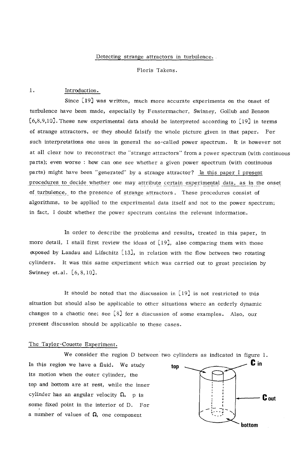### Detecting strange attractors in turbulence.

Floris Takens.

1. Introduction.

Since [19] was written, much more accurate experiments on the onset of turbulence have been made, especially by Fenstermacher, Swinney, Gollub and Benson [6,8,9,10]. These new experimental data should be interpreted according to [19] in terms of strange attractors, or they should falsify the whole picture given in that paper. For such interpretations one uses in general the so-called power spectrum. It is however not at all clear how to reconstruct the "strange attractors" from a power spectrum (with continuous parts); even worse : how can one see whether a given power spectrum (with continuous parts) might have been "generated" by a strange attractor? In this paper I present procedures to decide whether one may attribute certain experimental data, as in the onset of turbulence, to the presence of strange attractors. These procedures consist of algorithms, to be applied to the experimental data itself and not to the power spectrum; in fact, I doubt whether the power spectrum contains the relevant information.

In order to describe the problems and results, treated in this paper, in more detail, I shall first review the ideas of  $[19]$ , also comparing them with those exposed by Landau and Lifschitz  $[13]$ , in relation with the flow between two rotating cylinders. It was this same experiment which was carried out to great precision by Swinney et.al. [6, 8, 10].

It should be noted that the discussion in [19] is not restricted to this situation but should also be applicable to other situations where an orderly dynamic changes to a chaotic one; see [8] for a discussion of some examples. Also, our present discussion should be applicable to these cases.

# The Taylor-Couette Experiment.

We consider the region D between two cylinders as indicated in figure 1. In this region we have a fluid. We study its motion when the outer cylinder, the top and bottom are at rest, while the inner cylinder has an angular velocity  $\Omega$ . p is some fixed point in the interior of D. For a number of values of  $\Omega$ , one component top ~ <u>bin</u> **- C out** 

**bottom**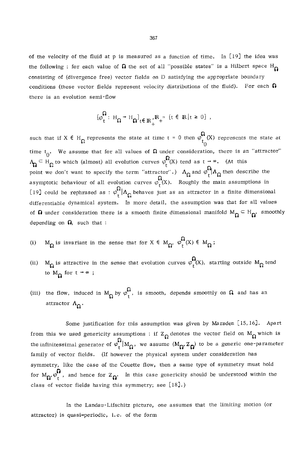of the velocity of the fluid at p is measured as a function of time. In [19] the idea was the following : for each value of  $\Omega$  the set of all "possible states" is a Hilbert space H $\Omega$ consisting of (divergence free) vector fields on D satisfying the appropriate boundary conditions (these vector fields represent velocity distributions of the fluid). For each  $\Omega$ there is an evolution semi-flow

$$
\{\varphi_t^{\Omega}: H_{\Omega} \to H_{\Omega}\}_{t \in \mathbb{R}_+^{\bullet}}^{\Omega}, \mathbb{R}_+^{\circ} = \{t \in \mathbb{R} \mid t \geq 0\},
$$

such that if  $X \in H_{\Omega}$  represents the state at time t = 0 then  $\varphi_{t_{\Omega}}^{\Omega}(X)$  represents the state at time t<sub>0</sub>. We assume that for all values of  $\Omega$  under consideration, there is an "attractor"  $\Lambda_{\Omega} \subseteq H_{\Omega}$  to which (almost) all evolution curves  $\varphi_{t}^{\Omega}(X)$  tend as  $t \to \infty$ . (At this point we don't want to specify the term "attractor".)  $\Lambda_{\Omega}$  and  $\varphi_{\uparrow}^{\Omega}|\Lambda_{\Omega}$  then describe the asymptotic behaviour of all evolution curves  $\varphi_t^{\Omega}(X)$ . Roughly the main assumptions in [19] could be rephrased as :  $\varphi$ <sub>r</sub> $\Lambda_{\Omega}$  behaves just as an attractor in a finite dimensional differentiable dynamical system. In more detail, the assumption was that for all values of  $\Omega$  under consideration there is a smooth finite dimensional manifold  $M_{\Omega} \subset H_{\Omega}$ , smoothly depending on  $\Omega$ , such that :

- (i)  $M_{\Omega}$  is invariant in the sense that for  $X \in M_{\Omega}$ ,  $\varphi_{\tau}^{\Omega}(X) \in M_{\Omega}$ ;
- (ii)  $M_{\Omega}$  is attractive in the sense that evolution curves  $\varphi_t^{\Omega}(X)$ , starting outside  $M_{\Omega}$  tend to  $M_{\Omega}$  for  $t \rightarrow \infty$ ;
- (iii) the flow, induced in  $M_{\Omega}$  by  $\varphi_t^{\Omega}$ , is smooth, depends smoothly on  $\Omega$  and has an attractor  $\Lambda_{\Omega}$ .

Some justification for this assumption was given by Marsden [15, 16]. Apart from this we used genericity assumptions : if  $Z_{\Omega}$  denotes the vector field on  $M_{\Omega}$  which is the infinitessimal generator of  $\varphi_r^{\Omega}$  M<sub> $\Omega$ </sub>, we assume  $(M_{\Omega}, Z_{\Omega})$  to be a generic one-parameter family of vector fields. (If however the physical system under consideration has symmetry, like the case of the Couette flow, then a same type of symmetry must hold for  $M_{\Omega}$ ,  $\varphi_{r}^{\mathbf{i}}$ , and hence for  $Z_{\Omega}$ . In this case genericity should be understood within the class of vector fields having this symmetry; see [18].)

In the Landau-Lifschitz picture, one assumes that the limiting motion (or attractor) is quasi-periodic, i.e. of the form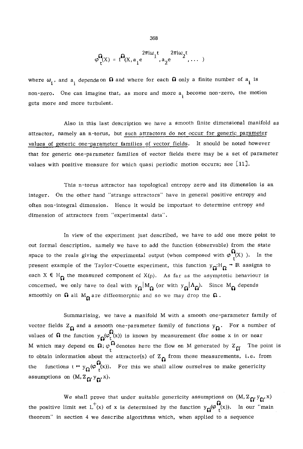$$
\varphi_{\mathbf{r}}^{\Omega}(x) = \mathbf{f}^{\Omega}(x, a_1 e^{\frac{2\pi i \omega_1 t}{n}, a_2 e^{\frac{2\pi i \omega_2 t}{n}}, \dots )
$$

where  $\omega_i$ , and  $a_i$  depends on  $\Omega$  and where for each  $\Omega$  only a finite number of  $a_i$  is non-zero. One can imagine that, as more and more  $a_i$  become non-zero, the motion gets more and more turbulent.

Also in this last description we have a smooth finite dimensional manifold as attractor, namely an n-torus, but such attractors do not occur for generic parameter values of generic one-parameter families of vector fields. It should be noted however that for generic one-parameter families of vector fields there may be a set of parameter values with positive measure for which quasi periodic motion occurs; see [11].

This n-torus attractor has topological entropy zero and its dimension is an integer. On the other hand "strange attractors" have in general positive entropy and often non-integral dimension. Hence it would be important to determine entropy and dimension of attractors from "experimental data".

In view of the experiment just described, we have to add one more point to out formal description, namely we have to add the function (observable) from the state space to the reals giving the experimental output (when composed with  $\varphi_{t}^{\Omega}(X)$ ). In the present example of the Taylor-Couette experiment, this function  $y_{\Omega}H_{\Omega} \rightarrow \mathbb{R}$  assigns to each  $X \in H_{\Omega}$  the measured component of  $X(p)$ . As far as the asymptotic behaviour is concerned, we only have to deal with  $y_{\Omega} | M_{\Omega}$  (or with  $y_{\Omega} | \Lambda_{\Omega}$ ). Since  $M_{\Omega}$  depends smoothly on  $\Omega$  all  $M_{\Omega}$  are diffeomorphic and so we may drop the  $\Omega$ .

Summarising, we have a manifold M with a smooth one-parameter family of vector fields  $Z_{\Omega}$  and a smooth one-parameter family of functions  $y_{\Omega}$ . For a number of values of  $\Omega$  the function  $y_{\Omega}(\varphi_t^{\Omega}(x))$  is known by measurement (for some x in or near M which may depend on  $\Omega$ ;  $\varphi^{*\sigma}$  denotes here the flow on M generated by  $Z_{\widetilde{\Omega}}$ . The point is to obtain information about the attractor(s) of  $Z_{\Omega}$  from these measurements, i.e. from the functions  $t \mapsto y_{\Omega}(\varphi_{(x)}^{\Omega})$ . For this we shall allow ourselves to make genericity assumptions on  $(M, Z_{\Omega}, y_{\Omega}, x)$ .

We shall prove that under suitable genericity assumptions on  $(M, Z_{\Omega}, V_{\Omega}, x)$ the positive limit set  $L^+(x)$  of x is determined by the function  $y_{\Omega}(\varphi_{t}^{\mathbf{Q}}(x))$ . In our "main theorem" in section 4 we describe algorithms which, when applied to a sequence

368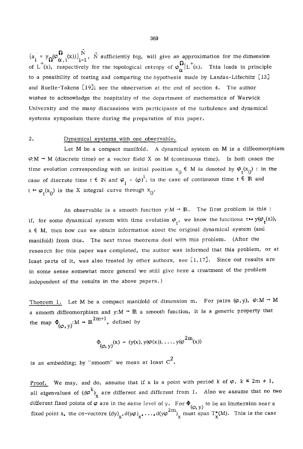${a_i = y_0(\varphi_{\alpha,i}^{\mathbf{w}}(x))}_{i=1}^T$ , N sufficiently big, will give an approximation for the dimension of L (x), respectively for the topological entropy of  $\varphi_{\alpha}^{-}|L(x)$ . This leads in principle to a possibility of testing and comparing the hypothesis made by Landau-Lifschitz  $[13]$ and Ruelle-Takens  $[19]$ ; see the observation at the end of section 4. The author wishes to acknowledge the hospitality of the department of mathematics of Warwick University and the many discussions with participants of the turbulence and dynamical systems symposium there during the preparation of this paper.

## 2. Dynamical systems with one observable.

Let M be a compact manifold. A dynamical system on M is a diffeomorphism  $\varphi$ :M  $\rightarrow$  M (discrete time) or a vector field X on M (continuous time). In both cases the time evolution corresponding with an initial position  $x_0 \in M$  is denoted by  $\varphi_t(x_0)$ : in the case of discrete time  $t \in \mathbb{N}$  and  $\varphi_i = (\varphi)^i$ ; in the case of continuous time  $t \in \mathbb{R}$  and  $t \mapsto \varphi_t(x_0)$  is the X integral curve through  $x_0$ .

An observable is a smooth function  $y:M - \mathbb{R}$ . The first problem is this : if, for some dynamical system with time evolution  $\varphi_{\tau}$ , we know the functions  $t \mapsto y(\varphi_{\tau}(x))$ ,  $x \in M$ , then how can we obtain information about the original dynamical system (and manifold) from this. The next three theorems deal with this problem. (After the research for this paper was completed, the author was informed that this problem, or at least parts of it, was also treated by other authors, see  $[1, 17]$ . Since out results are in some sense somewhat more general we still give here a treatment of the problem independent of the results in the above papers.)

Theorem 1. Let M be a compact manifold of dimension m. For pairs  $(\varphi, y)$ ,  $\varphi: M \rightarrow M$ a smooth diffeomorphism and y:M  $\rightarrow$  R a smooth function, it is a generic property that the map  $\Phi_{(\varphi, v)}: M \to \mathbb{R}^{2m+1}$ , defined by

$$
\Phi_{(\phi, y)}(x) = (y(x), y(\phi(x)), \ldots, y(\phi^{2m}(x))
$$

is an embedding; by "smooth" we mean at least  $c^2$ .

Proof. We may, and do, assume that if x is a point with period k of  $\varphi$ ,  $k \leq 2m + 1$ , all eigenvalues of  $(d\varphi^{k})_{x}$  are different and different from 1. Also we assume that no two different fixed points of  $\varphi$  are in the same level of y. For  $\Phi_{(\varphi, y)}$  to be an immersion near a fixed point x, the co-vectors  $(dy)_{x}$ ,  $d(y\varphi)_{x}$ , ...,  $d(y\varphi)^{2m}$ <sub>x</sub> must span  $T_x^*(M)$ . This is the case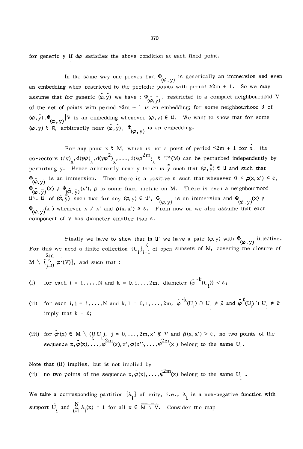for generic y if  $d\varphi$  satisfies the above condition at each fixed point.

In the same way one proves that  $\Phi_{(Q_1, y)}$  is generically an immersion and even an embedding when restricted to the periodic points with period  $\leq 2m + 1$ . So we may assume that for generic  $(\varphi, y)$  we have :  $\Phi_{(\varphi, y)}$ , restricted to a compact neighbourhood V of the set of points with period  $\leq 2m + 1$  is an embedding; for some neighbourhood U of  $(\varphi,\bar{y}),\Phi_{(\varphi,\bar{y})}|V$  is an embedding whenever  $(\varphi,y)\in\mathfrak{U}$ . We want to show that for some  $(\varphi, y) \in \mathfrak{u}$ , arbitrarily near  $(\varphi, y)$ ,  $\Phi_{(\varphi, v)}$  is an embedding.

For any point  $x \in M$ , which is not a point of period  $\leq 2m + 1$  for  $\varphi$ , the  $\circ$ o-vectors (dy),d(y $\varphi$ ),d(y $\varphi^2$ ),...,d(y $\varphi^{2m}$ )  $\in$  T\*(M) can be perturbed independently by perturbing y. Hence arbitrarily near y there is  $\overline{y}$  such that  $(\overline{\varphi}, \overline{y}) \in \mathfrak{u}$  and such that  $\Phi_{(0, \pi)}^-$  is an immersion. Then there is a positive  $\varepsilon$  such that whenever  $0 \le \rho(x, x') \le \varepsilon$ ,  $\Phi_{\zeta} = \langle x \rangle \neq \Phi_{\zeta} = \langle x \rangle$ ;  $\rho$  is some fixed metric on M. There is even a neighbourhood  $u \subseteq u$  of  $(\varphi, y)$  such that for any  $(\varphi, y) \in u'$ ,  $\Psi_{(x_0, y_0)}$  is an immersion and  $\Psi_{(x_0, y_0)}(x)$  $\Phi_{(\varphi, v)}(x')$  whenever  $x \neq x'$  and  $\rho(x, x') \leq \varepsilon$ . From now on we also assume that each component of V has diameter smaller than  $\varepsilon$ .

Finally we have to show that in **u** we have a pair  $(\varphi, y)$  with  $\Phi_{\alpha}$ , injective. For this we need a finite collection  $[U_{ij}]$ , of open subsets of M, covering the closure of 2m  $M \setminus \bigcup_{i=0}^{\infty} \varphi^{i}(V)$ , and such that :

- (i) for each  $i = 1, ..., N$  and  $k = 0, 1, ..., 2m$ , diameter  $(\varphi^{-k}(U_i)) < \varepsilon$ ;
- (ii) for each i, j = 1, ..., N and k, 1 = 0, 1, ...,  $2m$ ,  $\varphi^{-k}(U_i) \cap U_i \neq \emptyset$  and  $\varphi^{k}(U_i) \cap U_i \neq \emptyset$ imply that  $k = \ell$ ;
- (iii) for  $\varphi'(x) \in M \setminus (\cup U)$ , j = 0,..., 2m, x'  $\not\in V$  and  $\rho(x,x') > \varepsilon$ , no two points of the sequence  $x,\varphi(x),\ldots,\varphi^{2m}(x),x',\varphi(x'),\ldots,\varphi^{2m}(x')$  belong to the same  $U_i$ .

Note that (ii) implies, but is not implied by (ii)' no two points of the sequence  $x, \varphi(x), ..., \varphi^{n}$  (x) belong to the same  $U_i$ 

We take a corresponding partition  $\{\lambda_i\}$  of unity, i.e.,  $\lambda_i$  is a non-negative function with support  $\bigcup_{i}$  and  $\sum_{i=1}^{n} \lambda_i(x) = 1$  for all  $x \in M \setminus V$ . Consider the map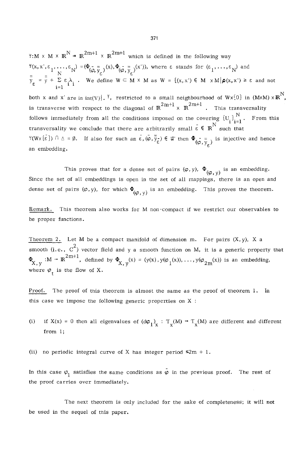$\forall : M \times M \times \mathbb{R}^N \rightarrow \mathbb{R}^{2m+1} \times \mathbb{R}^{2m+1}$  which is defined in the following way  $\Psi(x, x', \varepsilon_1, \ldots, \varepsilon_N) = (\Phi_{(\varphi, \overline{y}_\varepsilon)}(x), \Phi_{(\varphi, \overline{y}_\varepsilon)}(x'))$ , where  $\varepsilon$  stands for  $(\varepsilon_1, \ldots, \varepsilon_N)$  and  $\overline{y}_{g} = \overline{y} + \Sigma \varepsilon \lambda$ . We define  $W \subseteq M \times M$  as  $W = \{(x,x') \in M \times M | \rho(x,x') \geq \varepsilon \text{ and not } \lambda\}$ i=l both x and x' are in  $int(V)$ ,  $\cdot$  restricted to a small neighbourhood of  $W \times \{0\}$  in  $(M \times M) \times \mathbb{R}^N$ , is transverse with respect to the diagonal of  $\mathbb{R}^{2m+1} \times \mathbb{R}^{2m+1}$ . This transversality follows immediately from all the conditions imposed on the covering  $\{U_i\}_{i=1}^N$ . From this transversality we conclude that there are arbitrarily small  $\bar{\varepsilon} \in \mathbb{R}^N$  such that  $\Psi(W\times\{\bar{\epsilon}\})~\cap~\mathbb{A} = \emptyset$ . If also for such an  $\bar{\epsilon},(\bar{\varphi},\bar{\bar{y}}_{\bar{\epsilon}}) \in \mathfrak{u}$  then  $\Phi_{(\bar{\varphi},\bar{y}_{\bar{\epsilon}})}$  is injective and hence an embedding.

This proves that for a dense set of pairs  $(\varphi, y)$ ,  $\Phi_{(\varphi, y)}$  is an embedding. Since the set of all embeddings is open in the set of all mappings, there is an open and dense set of pairs  $(\varphi, y)$ , for which  $\Phi_{(\varphi, v)}$  is an embedding. This proves the theorem.

Remark. ~Ihis theorem also works for M non-compact if we restrict our observables to be proper functions.

Theorem 2. Let M be a compact manifold of dimension m. For pairs  $(X, y)$ , X a smooth (i.e.,  $C^2$ ) vector field and y a smooth function on M, it is a generic property that  $\Phi_{X, v} : M \to \mathbb{R}^{2m+1}$ , defined by  $\Phi_{X, y}(x) = (y(x), y(\varphi_1(x)), \dots, y(\varphi_{2m}(x))$  is an embedding, where  $\varphi_t$  is the flow of X.

Proof. The proof of this theorem is almost the same as the proof of theorem 1. In this case we impose the following generic properties on X :

(i) if  $X(x) = 0$  then all eigenvalues of  $(d\varphi_1)_x : T_x(M) \to T_x(M)$  are different and different from 1;

(ii) no periodic integral curve of X has integer period  $\leq 2m + 1$ .

In this case  $\varphi_1$  satisfies the same conditions as  $\varphi$  in the previous proof. The rest of the proof carries over immediately.

The next theorem is only included for the sake of completeness; it will not be used in the sequel of this paper,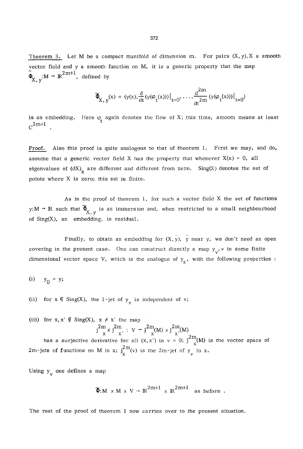Theorem 3. Let M be a compact manifold of dimension m. For pairs  $(X, y)$ , X a smooth vector field and y a smooth function on M, it is a generic property that the map  $\tilde{\Phi}_{\mathbf{v}}$  : M  $\rightarrow \mathbb{R}^{2m+1}$ , defined by

$$
\widetilde{\Phi}_{X, y}(x) = (y(x), \frac{d}{dt}(y(\varphi_t(x)))|_{t=0}, \dots, \frac{d^{2m}}{dt^{2m}}(y(\varphi_t(x)))|_{t=0})
$$

is an embedding. Here  $\varphi$  again denotes the flow of X; this time, smooth means at least  $C^{2m+1}$ 

Proof. Also this proof is quite analogous to that of theorem 1. First we may, and do, assume that a generic vector field X has the property that whenever  $X(x) = 0$ , all eigenvalues of  $(dX)_{\mathbf{v}}$  are different and different from zero. Sing(X) denotes the set of points where X is zero; this set is finite.

As in the proof of theorem 1, for such a vector field  $X$  the set of functions y: M  $\rightarrow$  R such that  $\widetilde{\Phi}_{X}$  is an immersion and, when restricted to a small neighbourhood of Sing(X), an embedding, is residual.

Finally, to obtain an embedding for  $(X, \overline{y})$ ,  $\overline{y}$  near y, we don't need an open covering in the present case. One can construct directly a map  $y_v$ , v in some finite dimensional vector space V, which is the analogue of  $y<sub>g</sub>$ , with the following properties :

$$
(i) \t y_0 = y;
$$

(ii) for  $x \in Sing(X)$ , the 1-jet of  $y_y$  is independent of v;

(iii) for  $x, x' \notin Sing(X)$ ,  $x \neq x'$  the map  $j^{2m}_{x} \times j^{2m}_{x'} \; : \; V \to j^{2m}_{x}(M) \times j^{2m}_{x'}(M)$ has a surjective derivative for all  $(x, x')$  in  $v = 0$ ;  $\int_{x}^{2m} M(x)$  is the vector space of 2m-jets of functions on M in x;  $j_x^{2m}(v)$  is the 2m-jet of  $y_y$  in x.

Using  $y_y$  one defines a map

$$
\mathfrak{F}_!M \times M \times V \to \mathbb{R}^{2m+1} \times \mathbb{R}^{2m+1} \text{ as before }.
$$

The rest of the proof of theorem 1 now carries over to the present situation.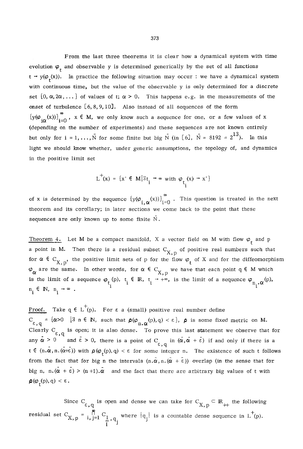From the last three theorems it is clear how a dynamical system with time evolution  $\varphi_{\tau}$  and observable y is determined generically by the set of all functions  $t \rightarrow y(\varphi_t(x))$ . In practice the following situation may occur : we have a dynamical system with continuous time, but the value of the observable y is only determined for a discrete set  $\{0, \alpha, 2\alpha, \dots\}$  of values of t;  $\alpha > 0$ . This happens e.g. in the measurements of the onset of turbulence  $[6, 8, 9, 10]$ . Also instead of all sequences of the form  $[y(\varphi_{i\alpha}(x))]_{i=0}^{\infty}$ ,  $x \in M$ , we only know such a sequence for one, or a few values of x (depending on the number of experiments) and these sequences are not known entirely but only for  $i = 1, ..., \overline{N}$  for some finite but big  $\overline{N}$  (in [6],  $\overline{N} = 8192 = 2^{13}$ ). In this light we should know whether, under generic assumptions, the topology of, and dynamics in the positive limit set

$$
L^+(x) = \{x' \in M | \exists t_i \rightarrow \infty \text{ with } \varphi_{t_i}(x) \rightarrow x'\}
$$

of x is determined by the sequence  $\{y(\varphi_{i,\alpha}(x))\}_{i=0}^{\infty}$ . This question is treated in the next theorem and its corollary; in later sections we come back to the point that these sequences are only known up to some finite  $\tilde{N}$ .

Theorem 4. Let M be a compact manifold, X a vector field on M with flow  $\varphi_t$  and p a point in M. Then there is a residual subset  $C_{X, p}$  of positive real numbers such that for  $\alpha \in C_{X,p}$ , the positive limit sets of p for the flow  $\varphi_t$  of X and for the diffeomorphism  $\varphi_{\alpha}$  are the same. In other words, for  $\alpha \in C_{X,p}$  we have that each point q  $\in M$  which is the limit of a sequence  $\varphi_{t_i}$  (p),  $t_i \in \mathbb{R}$ ,  $t_i \rightarrow +\infty$ , is the limit of a sequence  $\varphi_{n_i}$ .  $\alpha^{(p)}$ .  $n_i \in \mathbb{N}, n_i \rightarrow \infty$ .

<u>Proof.</u> Take  $q \in L^+(p)$ . For  $\varepsilon$  a (small) positive real number define  $C_{\varepsilon,q} = {\alpha>0 \quad |~ \exists~ n \in \mathbb{N}, \text{ such that } \rho(\varphi_{n,\alpha}(p),q) < \varepsilon},~\rho \text{ is some fixed metric on M}.$ Clearly C<sub>c, q</sub> is open; it is also dense. To prove this last statement we observe that for any  $\alpha > 0$  and  $\epsilon > 0$ , there is a point of C<sub> $\epsilon$ , q</sub> in  $(\alpha, \alpha + \epsilon)$  if and only if there is a  $t \in (n.\alpha,n.(\alpha+\epsilon))$  with  $\rho(\varphi_{\epsilon}(p),q) < \epsilon$  for some integer n. The existence of such t follows from the fact that for big n the intervals  $(n,\alpha,n,(\alpha+\epsilon))$  overlap (in the sense that for big n,  $n \cdot (\alpha + \epsilon) > (n+1) \cdot \alpha$  and the fact that there are arbitrary big values of t with  $\rho(\varphi_r(p), q) < \varepsilon.$ 

Since C<sub> $\epsilon$ , q</sub> is open and dense we can take for C<sub>X,p</sub>  $\subset$  R<sub>++</sub> the following residual set  $C_{X,p} = \prod_{i=1}^{n} C_i$  where  $\{q_i\}$  is a countable dense sequence in L<sup>'</sup>(p).  $i$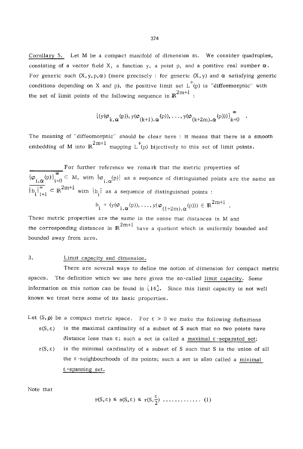Corollary 5. Let M be a compact manifold of dimension m. We consider quadruples, consisting of a vector field X, a function y, a point p, and a positive real number  $\alpha$ . For generic such  $(X, y, p, \alpha)$  (more precisely : for generic  $(X, y)$  and  $\alpha$  satisfying generic conditions depending on X and p), the positive limit set  $L^+(p)$  is "diffeomorphic" with the set of limit points of the following sequence in  $\mathbb{R}^{2m+1}$  :

$$
\{(y(\boldsymbol{\varphi}_{k,\,\boldsymbol{\alpha}}(p)),y(\boldsymbol{\varphi}_{(k+1),\,\boldsymbol{\alpha}}(p)),\,\ldots,y(\boldsymbol{\varphi}_{(k+2m),\,\boldsymbol{\alpha}}(p)))\}_{k=0}^{\infty}
$$

The meaning of "diffeomorphic" should be clear here : it means that there is a smooth embedding of M into  $\mathbb{R}^{2m+1}$  mapping  $\mathbb{L}^{+}$ <sub>(p)</sub> bijectively to this set of limit points.

For further reference we remark that the metric properties of  ${(\varphi_i, \varphi)}_{i=0}$  – M, with  ${\varphi_i, \varphi}$ ,  ${\varphi}$ ) as a sequence of distinguished points are the same as  $\overline{\{b_i\}_{i=1}^{\infty}} \subset \mathbb{R}^{2m+1}$  with  $\{b_i\}$  as a sequence of distinguished points :

$$
\mathbf{b}_{i} = (\mathbf{y}(\boldsymbol{\varphi}_{i,\alpha}(\mathbf{p})), \ldots, \mathbf{y}(\boldsymbol{\varphi}_{(1+2m),\alpha}(\mathbf{p}))) \in \mathbb{R}^{2m+1}
$$

These metric properties are the same in the sense that distances in M and the corresponding distances in  $\mathbb{R}^{2m+1}$  have a quotient which is uniformly bounded and bounded away from zero.

## 3. Limit capacity and dimension.

There are several ways to define the notion of dimension for compact metric spaces. The definition which we use here gives the so-called limit capacity. Some information on this notion can be found in  $[14]$ . Since this limit capacity is not well known we treat here some of its basic properties.

Let  $(S, \rho)$  be a compact metric space. For  $\varepsilon > 0$  we make the following definitions

- $s(S, \varepsilon)$  is the maximal cardinality of a subset of S such that no two points have distance less than  $\varepsilon$ ; such a set is called a maximal  $\varepsilon$ -separated set;
- $r(S, \varepsilon)$  is the minimal cardinality of a subset of S such that S is the union of all the  $\varepsilon$ -neighbourhoods of its points; such a set is also called a minimal  $\varepsilon$ -spanning set.

Note that

$$
r(S,\varepsilon) \leq s(S,\varepsilon) \leq r(S,\frac{\varepsilon}{2}) \cdot \ldots \cdot (1)
$$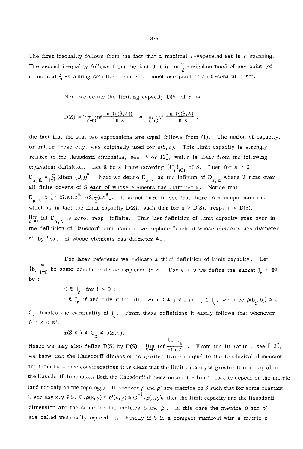The first inequality follows from the fact that a maximal  $\varepsilon$ -separated set is  $\varepsilon$ -spanning. The second inequality follows from the fact that in an  $\frac{\varepsilon}{2}$  -neighbourhood of any point (of a minimal  $\frac{\varepsilon}{2}$  -spanning set) there can be at most one point of an  $\varepsilon$ -separated set.

Next we define the limiting capacity  $D(S)$  of S as

$$
D(S) = \lim_{\epsilon \to 0} \inf \frac{\ln (r(S, \epsilon))}{-\ln \epsilon} = \lim_{\epsilon \to 0} \inf \frac{\ln (s(S, \epsilon))}{-\ln \epsilon};
$$

the fact that the last two expressions are equal follows from  $(l)$ . The notion of capacity, or rather  $\varepsilon$ -capacity, was originally used for  $s(S, \varepsilon)$ . This limit capacity is strongly related to the Hausdorff dimension, see  $[5 \text{ or } 12]$ , which is clear from the following equivalent definition. Let  $\mathfrak{u}$  be a finite covering  $\{U_i\}_{i\in I}$  of S. Then for a > 0  $D_{a,\,\mathbf{u}} = \sum_{i\in I}$  (diam  $(U_i)^a$ . Next we define  $D_{a,\,\varepsilon}$  as the infinum of  $D_{a,\,\mathbf{u}}$  where  $\mathbf{u}$  runs over all finite covers of S each of whose elements has diameter  $\varepsilon$ . Notice that  $D_{\alpha,\varepsilon} \in [r (S, \varepsilon), \varepsilon^a, r(S, \frac{\varepsilon}{2}), \varepsilon^a]$ . It is not hard to see that there is a unique number, which is in fact the limit capacity  $D(S)$ , such that for a >  $D(S)$ , resp. a <  $D(S)$ ,  $\stackrel{11}{\epsilon}$  on  $D_a$  is zero, resp. infinite. This last definition of limit capacity goes over in the definition of Hausdorff dimension if we replace "each of whose elements has diameter  $\varepsilon$ " by "each of whose elements has diameter  $\leq \varepsilon$ .

 $\left\{ \Phi_i \right\}_{i=0}$  be some countable dense sequence in S. For  $\varepsilon > 0$  we define the subset  $J_{\varepsilon} \subset \mathbb{N}$ by : For later reference we indicate a third definition of limit capacity. Let

 $0 \in J_{\epsilon}$ ; for  $i > 0$ :

 $i \in J_{\varepsilon}$  if and only if for all j with  $0 \leq j < i$  and  $j \in J_{\varepsilon}$ , we have  $\rho(b_i, b_i) \geq \varepsilon$ .  $C_{\epsilon}$  denotes the cardinality of  $J_{\epsilon}$ . From these definitions it easily follows that whenever  $0 < \varepsilon < \varepsilon$ ',

$$
r(S, \varepsilon') \leq C \leq s(S, \varepsilon).
$$

 $\epsilon$  in C<sub>2</sub> Hence we may also define D(S) by D(S) =  $\lim_{n \to \infty}$  inf  $\frac{1}{n}$  . From the literature, see [12], we know that the Hausdorff dimension is greater than or equal to the topological dimension and from the above considerations it is clear that the limit capacity is greater than or equal to the Hausdorff dimension. Both the Hausdorff dimension and the limit capacity depend on the metric (and not only on the topology). If however  $\rho$  and  $\rho'$  are metrics on S such that for some constant C and any  $x, y \in S$ ,  $C \cdot \rho(x, y) \ge \rho'(x, y) \ge C^{-1} \cdot \rho(x, y)$ , then the limit capacity and the Hausdorff dimension are the same for the metrics  $\rho$  and  $\rho'$ . In this case the metrics  $\rho$  and  $\rho'$ are called metrically equivalent. Finally if S is a compact manifold with a metric  $\rho$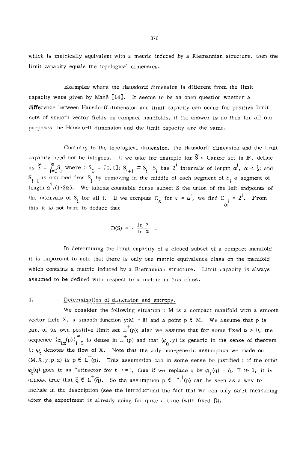which is metrically equivalent with a metric induced by a Riemannian structure, then the limit capacity equals the topologicaI dimension.

Examples where the Hausdorff dimension is different from the limit capacity were given by Man $\acute{\text{e}}$  [14]. It seems to be an open question whether a difference between Hausdorff dimension and limit capacity can occur for positive limit sets of smooth vector fields on compact manifolds; if the answer is no then for all our purposes the Hausdorff dimension and the limit capacity are the same.

Contrary to the topological dimension, the Hausdorff dimension and the limit capacity need not be integers. If we take for example for  $\tilde{S}$  a Cantor set in  $\mathbb{R}$ , define as  $\tilde{S} = \prod_{i=0}^{\infty} S_i$  where :  $S_0 = [0, 1]$ ;  $S_{i+1} \subset S_i$ ;  $S_i$  has  $2^i$  intervals of length  $\alpha^i$ ,  $\alpha < \frac{1}{2}$ ; and  $S_{i+1}$  is obtained from  $S_i$  by removing in the middle of each segment of  $S_i$  a segment of  $i$ length  $\alpha^1$ .(1-2 $\alpha$ ). We takeas countable dense subset S the union of the left endpoints of the intervals of S<sub>i</sub> for all i. If we compute  $C_{\varepsilon}$  for  $\varepsilon = \alpha^l$ , we find C<sub>i</sub> = 2<sup>1</sup>. From this it is not hard to deduce that

$$
D(S) = -\frac{\ln 2}{\ln \alpha} \quad .
$$

In determining the limit capacity of a closed subset of a compact manifold it is important to note that there is only one metric equivalence class on the manifold which contains a metric induced by a Riemannian structure. Limit capacity is always assumed to be defined with respect to a metric in this class.

## 4. Determination of dimension and entropy.

We consider the following situation : M is a compact manifold with a smooth vector field X, a smooth function  $y: M \to \mathbb{R}$  and a point  $p \in M$ . We assume that p is part of its own positive limit set  $L^+(p)$ ; also we assume that for some fixed  $\alpha > 0$ , the sequence  $\{\varphi_{i\alpha}(p)\}_{i=0}^{\infty}$  is dense in L<sup>+</sup>(p) and that  $(\varphi_{\alpha},y)$  is generic in the sense of theorem 1;  $\varphi$ , denotes the flow of X. Note that the only non-generic assumption we made on  $(M, X, y, p, \alpha)$  is  $p \in L^+(p)$ . This assumption can in some sense be justified : if the orbit  $\varphi_t(q)$  goes to an "attractor for  $t \to \infty$ ", then if we replace q by  $\varphi_T(q) = \tilde{q}$ ,  $T \gg 1$ , it is almost true that  $\tilde{q} \in L^+(\tilde{q})$ . So the assumption  $p \in L^+(p)$  can be seen as a way to include in the description (see the introduction) the fact that we can only start measuring after the experiment is already going for quite a time (with fixed  $\Omega$ ).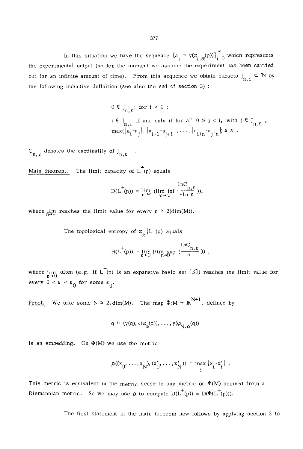In this situation we have the sequence  $\{a_i = y(\varphi_{i,\alpha}(p))\}_{i=0}^{\infty}$  which represents the experimental output (so for the moment we assume the experiment has been carried out for an infinite amount of time). From this sequence we obtain subsets  $J_{n,\varepsilon} \subseteq \mathbb{N}$  by the following inductive definition (see also the end of section 3) :

$$
\begin{aligned} 0 \in \mathcal{J}_{n,\varepsilon}; &\text{ for } i > 0: \\ i \in \mathcal{J}_{n,\varepsilon} &\text{ if and only if for all } 0 \leq j < i, \text{ with } j \in \mathcal{J}_{n,\varepsilon} \\ \max(|a_i - a_j|, |a_{i+1} - a_{j+1}|, \dots, |a_{i+n} - a_{j+n}|) > \varepsilon \end{aligned}.
$$

 $C_{n,\varepsilon}$  denotes the cardinality of  $J_{n,\varepsilon}$ .

Main theorem. The limit capacity of  $L^+(p)$  equals

$$
D(L^{+}(p)) = \lim_{n \to \infty} (\lim_{\varepsilon \to 0} \inf \frac{\ln C_{n,\varepsilon}}{-\ln \varepsilon})),
$$

where  $\lim_{n\to\infty}$  reaches the limit value for every  $n \geq 2(\text{dim}(M)).$ 

The topological entropy of  $\varphi_{\alpha} | L^+(p)$  equals

$$
H(L^+(p)) = \lim_{\epsilon \to 0} \left( \limsup_{n \to 0} \frac{lnC_{n,\epsilon}}{(n+1)!} \right) \ ,
$$

where  $\lim_{n\to 0}$  often (e.g. if L<sup>+</sup>(p) is an expansive basic set [3]) reaches the limit value for every  $0 < \varepsilon < \varepsilon_0$  for some  $\varepsilon_0$ .

<u>Proof</u>. We take some  $N \geq 2 \cdot \dim(M)$ . The map  $\Phi: M \to \mathbb{R}^{N+1}$ , defined by

$$
q \mapsto (y(q), y(\phi_{\alpha}(q)), \ldots, y(\phi_{N, \alpha}(q))
$$

is an embedding. On  $\Phi(M)$  we use the metric

$$
\rho((x_0, \ldots, x_N), (x_0', \ldots, x_N')) = \max_i |x_i - x_i'|.
$$

This metric is equivalent in the metric sense to any metric on  $\Phi(M)$  derived from a Riemannian metric. Se we may use  $\rho$  to compute  $D(L^+(p)) = D(\Phi(L^+(p)))$ .

The first statement in the main theorem now follows by applying section 3 to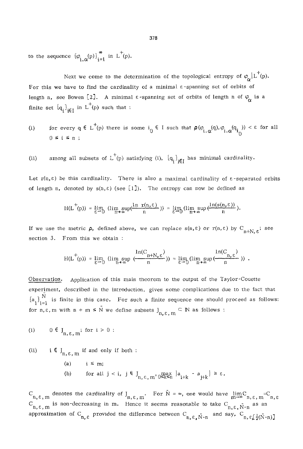to the sequence  ${\varphi_i} {\varphi_j}^{\infty}$  in L<sup>+</sup>(p).

Next we come to the determination of the topological entropy of  $\varphi_{\rho} | L^+(p)$ . For this we have to find the cardinality of a minimal  $\varepsilon$ -spanning set of orbits of length n, see Bowen [2]. A minimal  $\varepsilon$ -spanning set of orbits of length n of  $\varphi_{\alpha}$  is a finite set  $iq_i\}_{i \in I}$  in L (p) such that :

- (i) for every  $q \in L^+(p)$  there is some  $i_0 \in I$  such that  $\rho(\varphi_{i,\alpha}(q), \varphi_{i,\alpha}(q_{i_0})) < \varepsilon$  for all 0 ≤ i ≤
- (ii) among all subsets of  $L^+(p)$  satisfying (i),  $\{q_i\}_{i\in I}$  has minimal cardinality.

Let  $r(n,\varepsilon)$  be this cardinality. There is also a maximal cardinality of  $\varepsilon$ -separated orbits of length n, denoted by  $s(n, \varepsilon)$  (see [1]). The entropy can now be defined as

$$
H(L^+(p)) = \lim_{\epsilon \to 0} \ (\lim_{n \to \infty} \sup(\frac{\ln \ r(n, \epsilon)}{n})) = \lim_{\epsilon \to 0} (\lim_{n \to \infty} \sup(\frac{\ln(s(n, \epsilon))}{n}).
$$

If we use the metric  $\rho$ , defined above, we can replace  $s(n, \varepsilon)$  or  $r(n, \varepsilon)$  by  $C_{n+N,\varepsilon}$ ; see section 3. From this we obtain :

$$
H(L^+(p)) = \lim_{\epsilon \to 0} \left( \limsup_{n \to \infty} \frac{\ln(C_{n+N,\epsilon})}{(n+n,\epsilon)} \right) = \lim_{\epsilon \to 0} (\limsup_{n \to \infty} \frac{\ln(C_{n,\epsilon})}{(n+\epsilon)}). \quad .
$$

Observation. Application of this main theorem to the output of the Taylor-Couette experiment, described in the introduction, gives some complications due to the fact that  ${a_i}_{i=1}^N$  is finite in this case. For such a finite sequence one should proceed as follows: for  $n, \varepsilon, m$  with  $n + m \leq N$  we define subsets  $J_{n, \varepsilon, m} \subseteq N$  as follows :

(i) 
$$
0 \in J_{n \text{ s}} \text{ m}
$$
; for  $i > 0$ :

(ii) i  $\epsilon \, J_{n,\epsilon,m}$  if and only if both :

**(a)**  (b) for all  $j < i$ ,  $j \in J_{n,\epsilon,m'}$   $\max_{0 \leq k \leq n} |a_{i+k} - a_{j+k}| \geq \epsilon$ .  $i \leq m$ ;

 $C_{n,\epsilon,m}$  denotes the cardinality of  $J_{n,\epsilon,m}$ . For  $\bar{N} = \infty$ , one would have  $\lim_{m \to \infty} C_{n,\epsilon,m} = C_{n,\epsilon,m}$  $C_{n,\epsilon,m}$  is non-decreasing in m. Hence it seems reasonable to take  $C_{n,\epsilon,m}$  as an approximation of C<sub>n,  $\varepsilon$ </sub> provided the difference between C<sub>n,  $\varepsilon$ ,  $\bar{N}$ -n and say, C<sub>n,  $\varepsilon$ </sub> $\frac{1}{2}(\bar{N}$ -n)</sub>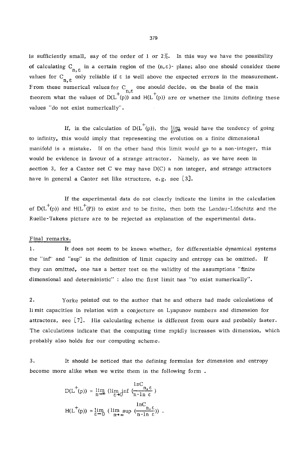is sufficiently small, say of the order of 1 or  $2\%$ . In this way we have the possibility of calculating  $C_{n,\,\epsilon}$  in a certain region of the  $(n,\epsilon)$ - plane; also one should consider these values for C only reliable if  $\varepsilon$  is well above the expected errors in the measurement. From these numerical values for C one should decide, on the basis of the main theorem what the values of  $D(L^+(p))$  and  $H(L^+(p))$  are or whether the limits defining these values "do not exist numerically".

If, in the calculation of  $D(L^+(p))$ , the ling would have the tendency of going to infinity, this would imply that representing the evolution on a finite dimensional manifold is a mistake. If on the other hand this Iimit would go to a non-integer, this would be evidence in favour of a strange attractor. Namely, as we have seen in section 3, for a Cantor set C we may have  $D(C)$  a non integer, and strange attractors have in general a Cantor set iike structure, e.g. see [3].

If the experimental data do not clearly indicate the limits in the calculation of  $D(L^+(p))$  and  $H(L^+(P))$  to exist and to be finite, then both the Landau-Lifschitz and the Ruelle-Takens picture are to be rejected as explanation of the experimental data.

#### Final remarks.

1. It does not seem to be known whether, for differentiable dynamical systems the "inf' and "sup" in the definition of limit capacity and entropy can be omitted. If they can omitted, one has a better test on the validity of the assumptions "finite dimensional and deterministic" : also the first limit has "to exist numerically".

2. Yorke pointed out to the author that he and others had made calculations of limit capacities in relation with a conjecture on Lyapunov numbers and dimension for attractors, see [7]. His calculating scheme is different from ours and probably faster. The calculations indicate that the computing time rapidly increases with dimension, which probably also holds for our computing scheme.

3. It should be noticed that the defining formulas for dimension and entropy become more alike when we write them in the following form .

$$
D(L^{+}(p)) = \lim_{n \to \infty} (\lim_{\varepsilon \to 0} \inf \left( \frac{\ln C}{n - \ln \varepsilon} \right))
$$
  

$$
H(L^{+}(p)) = \lim_{\varepsilon \to 0} (\lim_{n \to \infty} \sup \left( \frac{\ln C}{n - \ln \varepsilon} \right))
$$
.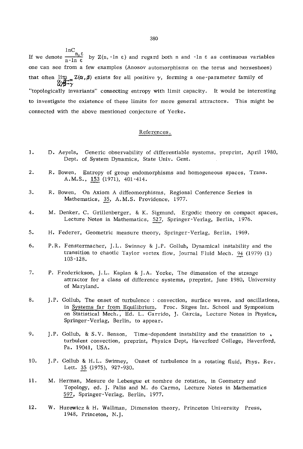$lnC$ If we denote  $\frac{m}{n-1}$  by  $Z(n,-\ln \varepsilon)$  and regard both n and -ln  $\varepsilon$  as continuous variables one can see from a few examples (Anosov automorphisms on the torus and horseshoes) that often  $\lim_{\substack{\alpha,\beta\to\infty\\ \alpha\neq\beta}} Z(\alpha,\beta)$  exists for all positive  $\gamma$ , forming a one-parameter family of "topologically invariants" connecting entropy with limit capacity. It would be interesting to investigate the existence of these limits for more general attractors. This might be connected with the above mentioned conjecture of Yorke.

#### References.

- 1. D. Aeyels, Generic observability of differentiable systems, preprint, April i980, Dept. of System Dynamics, State Univ. Gent.
- 2. R. Bowen, Entropy of group endomorphisms and homogeneous spaces, Trans. A.M.S., 153 (1971), 401-414.
- 3. R. Bowen, On Axiom A diffeomorphisms, Regional Conference Series in Mathematics, 35, A.M.S. Providence, 1977.
- 4. M. Denker, C. Grillenberger, & K. Sigmund, Ergedic theory on compact spaces, Lecture Notes in Mathematics, 527, Springer-Verlag, Berlin, 1976.
- 5. H. Federer, Geometric measure theory, Springer-Verlag, Berlin, 1969.
- 6. P.R. Fenstermacher, J.L. Swinney & J.P. Gollub, Dynamical instability and the transition to chaotic Taylor vortex flow, Journal Fluid Mech. 94 (1979) (1) 103 -128.
- 7. P. Frederickson, J.L. Kaplan & J.A. Yorke, The dimension of the strange attractor for a class of difference systems, preprint, June 1980, University of Maryland.
- 8. J.P. Gollub, The onset of turbulence : convection, surface waves, and osciIlations, in Systems far from Equilibrium, Proc. Sitges Int. School and Symposium on Statistical Mech., Ed. L. Garrido, J. Garcia, Lecture Notes in Physics, Springer-Verlag, Berlin, to appear.
- 9. **j.P.** Gollub, & S.V. Benson, Time-dependent instability and the transition to turbulent convection, preprint, Physics Dept, Haverford College, Haverford, Pa. 19041, USA.
- I0. **j.P.** Gollub & H.L. Swinney, Onset of turbulence in a rotating fluid, Phys. Rev. Lett. 35 (1975), 927-930.
- 11. M. Herman, Mesure de Lebesgue et nombre de rotation, in Geometry and Topology, ed. J. Palls and M. do Carmo, Lecture Notes in Mathematics 597, Springer-Verlag, Berlin, 1977.
- 12. W. Hurewicz & H. Wallman, Dimension theory, Princeton University Press, 1948, Princeton, N.J.